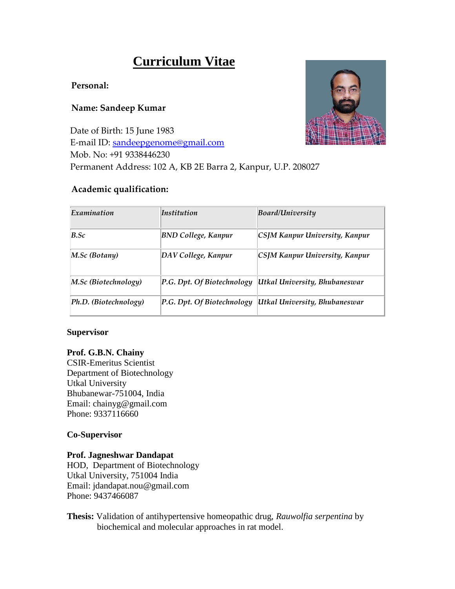# **Curriculum Vitae**

# **Personal:**

# **Name: Sandeep Kumar**

Date of Birth: 15 June 1983 E-mail ID: [sandeepgenome@gmail.com](mailto:sandeepgenome@gmail.com) Mob. No: +91 9338446230 Permanent Address: 102 A, KB 2E Barra 2, Kanpur, U.P. 208027

# **Academic qualification:**



| Examination           | <i>Institution</i>         | <b>Board/University</b>        |
|-----------------------|----------------------------|--------------------------------|
| $B.$ Sc               | <b>BND College, Kanpur</b> | CSJM Kanpur University, Kanpur |
| M.Sc (Botany)         | DAV College, Kanpur        | CSJM Kanpur University, Kanpur |
| M.Sc (Biotechnology)  | P.G. Dpt. Of Biotechnology | Utkal University, Bhubaneswar  |
| Ph.D. (Biotechnology) | P.G. Dpt. Of Biotechnology | Utkal University, Bhubaneswar  |

#### **Supervisor**

# **Prof. G.B.N. Chainy**

CSIR-Emeritus Scientist Department of Biotechnology Utkal University Bhubanewar-751004, India Email: chainyg@gmail.com Phone: 9337116660

# **Co-Supervisor**

#### **Prof. Jagneshwar Dandapat**

HOD, Department of Biotechnology Utkal University, 751004 India Email: jdandapat.nou@gmail.com Phone: 9437466087

**Thesis:** Validation of antihypertensive homeopathic drug, *Rauwolfia serpentina* by biochemical and molecular approaches in rat model.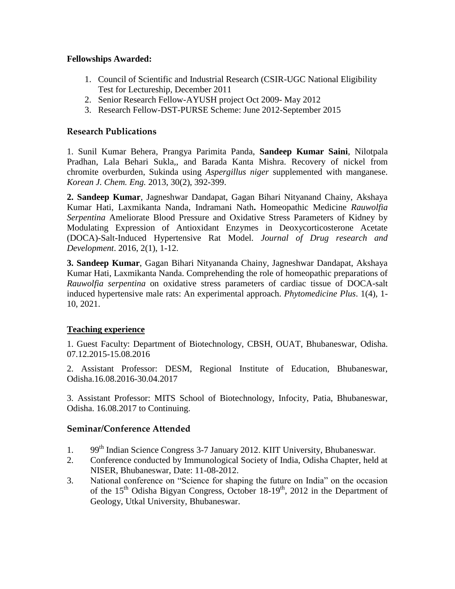# **Fellowships Awarded:**

- 1. Council of Scientific and Industrial Research (CSIR-UGC National Eligibility Test for Lectureship, December 2011
- 2. Senior Research Fellow-AYUSH project Oct 2009- May 2012
- 3. Research Fellow-DST-PURSE Scheme: June 2012-September 2015

# **Research Publications**

1. Sunil Kumar Behera, Prangya Parimita Panda, **Sandeep Kumar Saini**, Nilotpala Pradhan, Lala Behari Sukla,, and Barada Kanta Mishra. Recovery of nickel from chromite overburden, Sukinda using *Aspergillus niger* supplemented with manganese. *Korean J. Chem. Eng.* 2013, 30(2), 392-399.

**2. Sandeep Kumar**, Jagneshwar Dandapat, Gagan Bihari Nityanand Chainy, Akshaya Kumar Hati, Laxmikanta Nanda, Indramani Nath**.** Homeopathic Medicine *Rauwolfia Serpentina* Ameliorate Blood Pressure and Oxidative Stress Parameters of Kidney by Modulating Expression of Antioxidant Enzymes in Deoxycorticosterone Acetate (DOCA)-Salt-Induced Hypertensive Rat Model. *Journal of Drug research and Development*. 2016, 2(1), 1-12.

**3. Sandeep Kumar**, Gagan Bihari Nityananda Chainy, Jagneshwar Dandapat, Akshaya Kumar Hati, Laxmikanta Nanda. Comprehending the role of homeopathic preparations of *Rauwolfia serpentina* on oxidative stress parameters of cardiac tissue of DOCA-salt induced hypertensive male rats: An experimental approach. *Phytomedicine Plus*. 1(4), 1- 10, 2021.

# **Teaching experience**

1. Guest Faculty: Department of Biotechnology, CBSH, OUAT, Bhubaneswar, Odisha. 07.12.2015-15.08.2016

2. Assistant Professor: DESM, Regional Institute of Education, Bhubaneswar, Odisha.16.08.2016-30.04.2017

3. Assistant Professor: MITS School of Biotechnology, Infocity, Patia, Bhubaneswar, Odisha. 16.08.2017 to Continuing.

# **Seminar/Conference Attended**

- 1. 99<sup>th</sup> Indian Science Congress 3-7 January 2012. KIIT University, Bhubaneswar.
- 2. Conference conducted by Immunological Society of India, Odisha Chapter, held at NISER, Bhubaneswar, Date: 11-08-2012.
- 3. National conference on "Science for shaping the future on India" on the occasion of the  $15<sup>th</sup>$  Odisha Bigyan Congress, October 18-19<sup>th</sup>, 2012 in the Department of Geology, Utkal University, Bhubaneswar.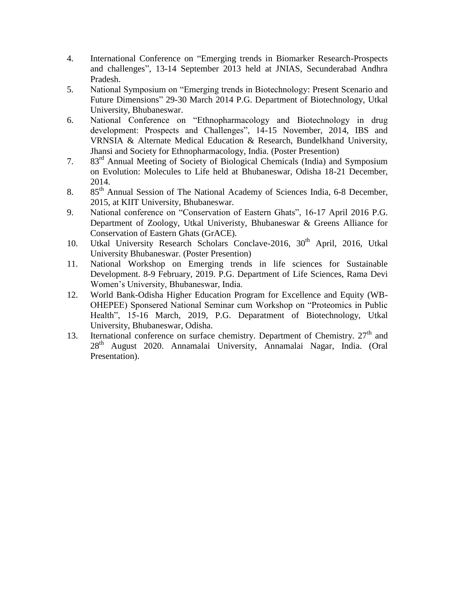- 4. International Conference on "Emerging trends in Biomarker Research-Prospects and challenges", 13-14 September 2013 held at JNIAS, Secunderabad Andhra Pradesh.
- 5. National Symposium on "Emerging trends in Biotechnology: Present Scenario and Future Dimensions" 29-30 March 2014 P.G. Department of Biotechnology, Utkal University, Bhubaneswar.
- 6. National Conference on "Ethnopharmacology and Biotechnology in drug development: Prospects and Challenges", 14-15 November, 2014, IBS and VRNSIA & Alternate Medical Education & Research, Bundelkhand University, Jhansi and Society for Ethnopharmacology, India. (Poster Presention)
- 7. 83rd Annual Meeting of Society of Biological Chemicals (India) and Symposium on Evolution: Molecules to Life held at Bhubaneswar, Odisha 18-21 December, 2014.
- 8. 85<sup>th</sup> Annual Session of The National Academy of Sciences India, 6-8 December, 2015, at KIIT University, Bhubaneswar.
- 9. National conference on "Conservation of Eastern Ghats", 16-17 April 2016 P.G. Department of Zoology, Utkal Univeristy, Bhubaneswar & Greens Alliance for Conservation of Eastern Ghats (GrACE).
- 10. Utkal University Research Scholars Conclave-2016, 30<sup>th</sup> April, 2016, Utkal University Bhubaneswar. (Poster Presention)
- 11. National Workshop on Emerging trends in life sciences for Sustainable Development. 8-9 February, 2019. P.G. Department of Life Sciences, Rama Devi Women's University, Bhubaneswar, India.
- 12. World Bank-Odisha Higher Education Program for Excellence and Equity (WB-OHEPEE) Sponsered National Seminar cum Workshop on "Proteomics in Public Health", 15-16 March, 2019, P.G. Deparatment of Biotechnology, Utkal University, Bhubaneswar, Odisha.
- 13. Iternational conference on surface chemistry. Department of Chemistry.  $27<sup>th</sup>$  and 28th August 2020. Annamalai University, Annamalai Nagar, India. (Oral Presentation).